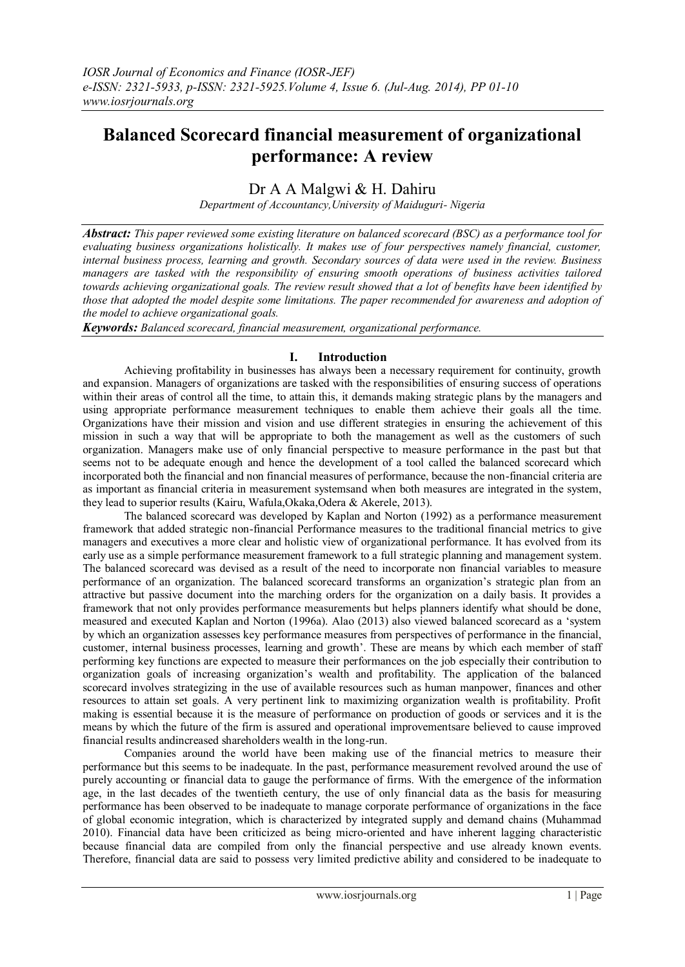# **Balanced Scorecard financial measurement of organizational performance: A review**

# Dr A A Malgwi & H. Dahiru

*Department of Accountancy,University of Maiduguri- Nigeria*

*Abstract: This paper reviewed some existing literature on balanced scorecard (BSC) as a performance tool for evaluating business organizations holistically. It makes use of four perspectives namely financial, customer, internal business process, learning and growth. Secondary sources of data were used in the review. Business managers are tasked with the responsibility of ensuring smooth operations of business activities tailored towards achieving organizational goals. The review result showed that a lot of benefits have been identified by those that adopted the model despite some limitations. The paper recommended for awareness and adoption of the model to achieve organizational goals.*

*Keywords: Balanced scorecard, financial measurement, organizational performance.*

# **I. Introduction**

Achieving profitability in businesses has always been a necessary requirement for continuity, growth and expansion. Managers of organizations are tasked with the responsibilities of ensuring success of operations within their areas of control all the time, to attain this, it demands making strategic plans by the managers and using appropriate performance measurement techniques to enable them achieve their goals all the time. Organizations have their mission and vision and use different strategies in ensuring the achievement of this mission in such a way that will be appropriate to both the management as well as the customers of such organization. Managers make use of only financial perspective to measure performance in the past but that seems not to be adequate enough and hence the development of a tool called the balanced scorecard which incorporated both the financial and non financial measures of performance, because the non-financial criteria are as important as financial criteria in measurement systemsand when both measures are integrated in the system, they lead to superior results (Kairu, Wafula,Okaka,Odera & Akerele, 2013).

The balanced scorecard was developed by Kaplan and Norton (1992) as a performance measurement framework that added strategic non-financial Performance measures to the traditional financial metrics to give managers and executives a more clear and holistic view of organizational performance. It has evolved from its early use as a simple performance measurement framework to a full strategic planning and management system. The balanced scorecard was devised as a result of the need to incorporate non financial variables to measure performance of an organization. The balanced scorecard transforms an organization"s strategic plan from an attractive but passive document into the marching orders for the organization on a daily basis. It provides a framework that not only provides performance measurements but helps planners identify what should be done, measured and executed Kaplan and Norton (1996a). Alao (2013) also viewed balanced scorecard as a "system by which an organization assesses key performance measures from perspectives of performance in the financial, customer, internal business processes, learning and growth". These are means by which each member of staff performing key functions are expected to measure their performances on the job especially their contribution to organization goals of increasing organization"s wealth and profitability. The application of the balanced scorecard involves strategizing in the use of available resources such as human manpower, finances and other resources to attain set goals. A very pertinent link to maximizing organization wealth is profitability. Profit making is essential because it is the measure of performance on production of goods or services and it is the means by which the future of the firm is assured and operational improvementsare believed to cause improved financial results andincreased shareholders wealth in the long-run.

Companies around the world have been making use of the financial metrics to measure their performance but this seems to be inadequate. In the past, performance measurement revolved around the use of purely accounting or financial data to gauge the performance of firms. With the emergence of the information age, in the last decades of the twentieth century, the use of only financial data as the basis for measuring performance has been observed to be inadequate to manage corporate performance of organizations in the face of global economic integration, which is characterized by integrated supply and demand chains (Muhammad 2010). Financial data have been criticized as being micro-oriented and have inherent lagging characteristic because financial data are compiled from only the financial perspective and use already known events. Therefore, financial data are said to possess very limited predictive ability and considered to be inadequate to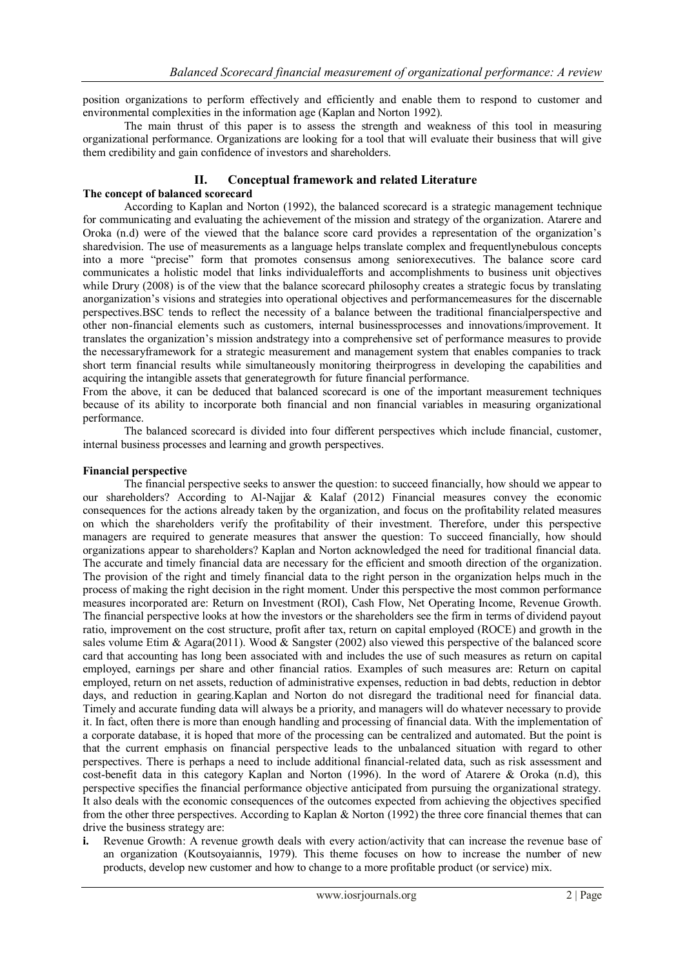position organizations to perform effectively and efficiently and enable them to respond to customer and environmental complexities in the information age (Kaplan and Norton 1992).

The main thrust of this paper is to assess the strength and weakness of this tool in measuring organizational performance. Organizations are looking for a tool that will evaluate their business that will give them credibility and gain confidence of investors and shareholders.

# **II. Conceptual framework and related Literature**

#### **The concept of balanced scorecard**

According to Kaplan and Norton (1992), the balanced scorecard is a strategic management technique for communicating and evaluating the achievement of the mission and strategy of the organization. Atarere and Oroka (n.d) were of the viewed that the balance score card provides a representation of the organization"s sharedvision. The use of measurements as a language helps translate complex and frequentlynebulous concepts into a more "precise" form that promotes consensus among seniorexecutives. The balance score card communicates a holistic model that links individualefforts and accomplishments to business unit objectives while Drury (2008) is of the view that the balance scorecard philosophy creates a strategic focus by translating anorganization"s visions and strategies into operational objectives and performancemeasures for the discernable perspectives.BSC tends to reflect the necessity of a balance between the traditional financialperspective and other non-financial elements such as customers, internal businessprocesses and innovations/improvement. It translates the organization"s mission andstrategy into a comprehensive set of performance measures to provide the necessaryframework for a strategic measurement and management system that enables companies to track short term financial results while simultaneously monitoring theirprogress in developing the capabilities and acquiring the intangible assets that generategrowth for future financial performance.

From the above, it can be deduced that balanced scorecard is one of the important measurement techniques because of its ability to incorporate both financial and non financial variables in measuring organizational performance.

The balanced scorecard is divided into four different perspectives which include financial, customer, internal business processes and learning and growth perspectives.

#### **Financial perspective**

The financial perspective seeks to answer the question: to succeed financially, how should we appear to our shareholders? According to Al-Najjar & Kalaf (2012) Financial measures convey the economic consequences for the actions already taken by the organization, and focus on the profitability related measures on which the shareholders verify the profitability of their investment. Therefore, under this perspective managers are required to generate measures that answer the question: To succeed financially, how should organizations appear to shareholders? Kaplan and Norton acknowledged the need for traditional financial data. The accurate and timely financial data are necessary for the efficient and smooth direction of the organization. The provision of the right and timely financial data to the right person in the organization helps much in the process of making the right decision in the right moment. Under this perspective the most common performance measures incorporated are: Return on Investment (ROI), Cash Flow, Net Operating Income, Revenue Growth. The financial perspective looks at how the investors or the shareholders see the firm in terms of dividend payout ratio, improvement on the cost structure, profit after tax, return on capital employed (ROCE) and growth in the sales volume Etim  $\&$  Agara(2011). Wood  $\&$  Sangster (2002) also viewed this perspective of the balanced score card that accounting has long been associated with and includes the use of such measures as return on capital employed, earnings per share and other financial ratios. Examples of such measures are: Return on capital employed, return on net assets, reduction of administrative expenses, reduction in bad debts, reduction in debtor days, and reduction in gearing.Kaplan and Norton do not disregard the traditional need for financial data. Timely and accurate funding data will always be a priority, and managers will do whatever necessary to provide it. In fact, often there is more than enough handling and processing of financial data. With the implementation of a corporate database, it is hoped that more of the processing can be centralized and automated. But the point is that the current emphasis on financial perspective leads to the unbalanced situation with regard to other perspectives. There is perhaps a need to include additional financial-related data, such as risk assessment and cost-benefit data in this category Kaplan and Norton (1996). In the word of Atarere & Oroka (n.d), this perspective specifies the financial performance objective anticipated from pursuing the organizational strategy. It also deals with the economic consequences of the outcomes expected from achieving the objectives specified from the other three perspectives. According to Kaplan & Norton (1992) the three core financial themes that can drive the business strategy are:

**i.** Revenue Growth: A revenue growth deals with every action/activity that can increase the revenue base of an organization (Koutsoyaiannis, 1979). This theme focuses on how to increase the number of new products, develop new customer and how to change to a more profitable product (or service) mix.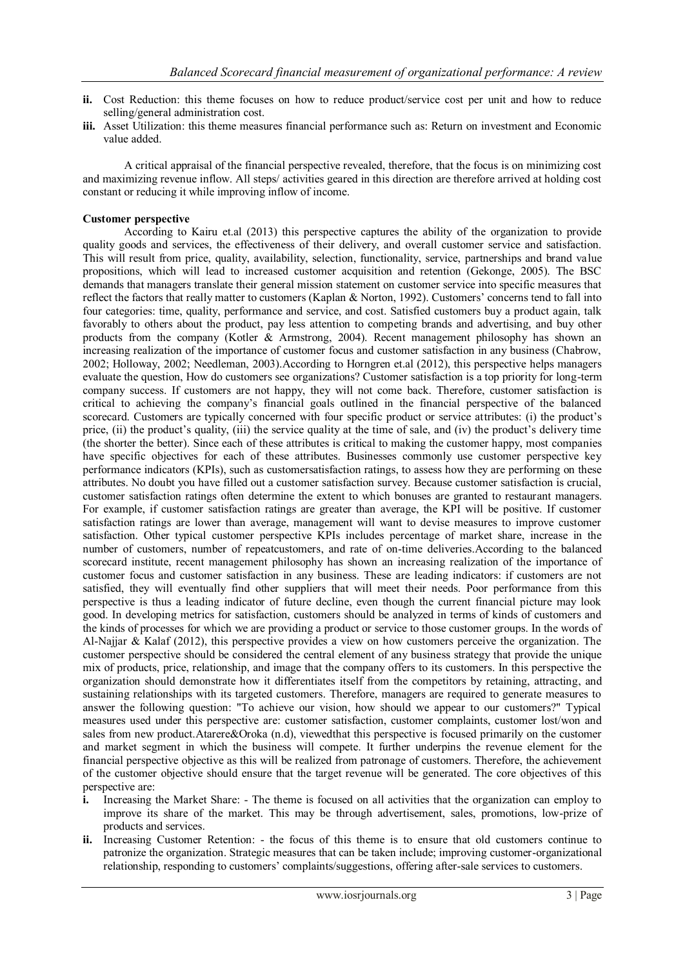- **ii.** Cost Reduction: this theme focuses on how to reduce product/service cost per unit and how to reduce selling/general administration cost.
- **iii.** Asset Utilization: this theme measures financial performance such as: Return on investment and Economic value added.

A critical appraisal of the financial perspective revealed, therefore, that the focus is on minimizing cost and maximizing revenue inflow. All steps/ activities geared in this direction are therefore arrived at holding cost constant or reducing it while improving inflow of income.

### **Customer perspective**

According to Kairu et.al (2013) this perspective captures the ability of the organization to provide quality goods and services, the effectiveness of their delivery, and overall customer service and satisfaction. This will result from price, quality, availability, selection, functionality, service, partnerships and brand value propositions, which will lead to increased customer acquisition and retention (Gekonge, 2005). The BSC demands that managers translate their general mission statement on customer service into specific measures that reflect the factors that really matter to customers (Kaplan & Norton, 1992). Customers" concerns tend to fall into four categories: time, quality, performance and service, and cost. Satisfied customers buy a product again, talk favorably to others about the product, pay less attention to competing brands and advertising, and buy other products from the company (Kotler & Armstrong, 2004). Recent management philosophy has shown an increasing realization of the importance of customer focus and customer satisfaction in any business (Chabrow, 2002; Holloway, 2002; Needleman, 2003).According to Horngren et.al (2012), this perspective helps managers evaluate the question, How do customers see organizations? Customer satisfaction is a top priority for long-term company success. If customers are not happy, they will not come back. Therefore, customer satisfaction is critical to achieving the company"s financial goals outlined in the financial perspective of the balanced scorecard. Customers are typically concerned with four specific product or service attributes: (i) the product's price, (ii) the product's quality, (iii) the service quality at the time of sale, and (iv) the product's delivery time (the shorter the better). Since each of these attributes is critical to making the customer happy, most companies have specific objectives for each of these attributes. Businesses commonly use customer perspective key performance indicators (KPIs), such as customersatisfaction ratings, to assess how they are performing on these attributes. No doubt you have filled out a customer satisfaction survey. Because customer satisfaction is crucial, customer satisfaction ratings often determine the extent to which bonuses are granted to restaurant managers. For example, if customer satisfaction ratings are greater than average, the KPI will be positive. If customer satisfaction ratings are lower than average, management will want to devise measures to improve customer satisfaction. Other typical customer perspective KPIs includes percentage of market share, increase in the number of customers, number of repeatcustomers, and rate of on-time deliveries.According to the balanced scorecard institute, recent management philosophy has shown an increasing realization of the importance of customer focus and customer satisfaction in any business. These are leading indicators: if customers are not satisfied, they will eventually find other suppliers that will meet their needs. Poor performance from this perspective is thus a leading indicator of future decline, even though the current financial picture may look good. In developing metrics for satisfaction, customers should be analyzed in terms of kinds of customers and the kinds of processes for which we are providing a product or service to those customer groups. In the words of Al-Najjar & Kalaf (2012), this perspective provides a view on how customers perceive the organization. The customer perspective should be considered the central element of any business strategy that provide the unique mix of products, price, relationship, and image that the company offers to its customers. In this perspective the organization should demonstrate how it differentiates itself from the competitors by retaining, attracting, and sustaining relationships with its targeted customers. Therefore, managers are required to generate measures to answer the following question: "To achieve our vision, how should we appear to our customers?" Typical measures used under this perspective are: customer satisfaction, customer complaints, customer lost/won and sales from new product.Atarere&Oroka (n.d), viewedthat this perspective is focused primarily on the customer and market segment in which the business will compete. It further underpins the revenue element for the financial perspective objective as this will be realized from patronage of customers. Therefore, the achievement of the customer objective should ensure that the target revenue will be generated. The core objectives of this perspective are:

- **i.** Increasing the Market Share: The theme is focused on all activities that the organization can employ to improve its share of the market. This may be through advertisement, sales, promotions, low-prize of products and services.
- **ii.** Increasing Customer Retention: the focus of this theme is to ensure that old customers continue to patronize the organization. Strategic measures that can be taken include; improving customer-organizational relationship, responding to customers" complaints/suggestions, offering after-sale services to customers.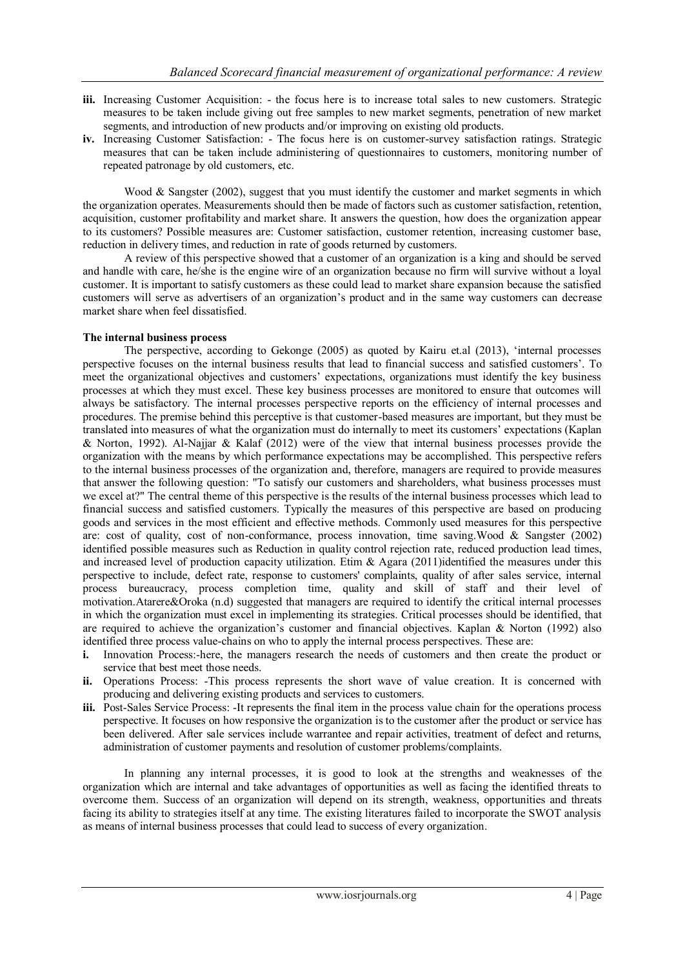- **iii.** Increasing Customer Acquisition: the focus here is to increase total sales to new customers. Strategic measures to be taken include giving out free samples to new market segments, penetration of new market segments, and introduction of new products and/or improving on existing old products.
- **iv.** Increasing Customer Satisfaction: The focus here is on customer-survey satisfaction ratings. Strategic measures that can be taken include administering of questionnaires to customers, monitoring number of repeated patronage by old customers, etc.

Wood & Sangster (2002), suggest that you must identify the customer and market segments in which the organization operates. Measurements should then be made of factors such as customer satisfaction, retention, acquisition, customer profitability and market share. It answers the question, how does the organization appear to its customers? Possible measures are: Customer satisfaction, customer retention, increasing customer base, reduction in delivery times, and reduction in rate of goods returned by customers.

A review of this perspective showed that a customer of an organization is a king and should be served and handle with care, he/she is the engine wire of an organization because no firm will survive without a loyal customer. It is important to satisfy customers as these could lead to market share expansion because the satisfied customers will serve as advertisers of an organization"s product and in the same way customers can decrease market share when feel dissatisfied.

## **The internal business process**

The perspective, according to Gekonge (2005) as quoted by Kairu et.al (2013), "internal processes perspective focuses on the internal business results that lead to financial success and satisfied customers". To meet the organizational objectives and customers" expectations, organizations must identify the key business processes at which they must excel. These key business processes are monitored to ensure that outcomes will always be satisfactory. The internal processes perspective reports on the efficiency of internal processes and procedures. The premise behind this perceptive is that customer-based measures are important, but they must be translated into measures of what the organization must do internally to meet its customers" expectations (Kaplan & Norton, 1992). Al-Najjar & Kalaf (2012) were of the view that internal business processes provide the organization with the means by which performance expectations may be accomplished. This perspective refers to the internal business processes of the organization and, therefore, managers are required to provide measures that answer the following question: "To satisfy our customers and shareholders, what business processes must we excel at?" The central theme of this perspective is the results of the internal business processes which lead to financial success and satisfied customers. Typically the measures of this perspective are based on producing goods and services in the most efficient and effective methods. Commonly used measures for this perspective are: cost of quality, cost of non-conformance, process innovation, time saving.Wood & Sangster (2002) identified possible measures such as Reduction in quality control rejection rate, reduced production lead times, and increased level of production capacity utilization. Etim  $\&$  Agara (2011)identified the measures under this perspective to include, defect rate, response to customers' complaints, quality of after sales service, internal process bureaucracy, process completion time, quality and skill of staff and their level of motivation.Atarere&Oroka (n.d) suggested that managers are required to identify the critical internal processes in which the organization must excel in implementing its strategies. Critical processes should be identified, that are required to achieve the organization"s customer and financial objectives. Kaplan & Norton (1992) also identified three process value-chains on who to apply the internal process perspectives. These are:

- **i.** Innovation Process:-here, the managers research the needs of customers and then create the product or service that best meet those needs.
- **ii.** Operations Process: -This process represents the short wave of value creation. It is concerned with producing and delivering existing products and services to customers.
- **iii.** Post-Sales Service Process: -It represents the final item in the process value chain for the operations process perspective. It focuses on how responsive the organization is to the customer after the product or service has been delivered. After sale services include warrantee and repair activities, treatment of defect and returns, administration of customer payments and resolution of customer problems/complaints.

In planning any internal processes, it is good to look at the strengths and weaknesses of the organization which are internal and take advantages of opportunities as well as facing the identified threats to overcome them. Success of an organization will depend on its strength, weakness, opportunities and threats facing its ability to strategies itself at any time. The existing literatures failed to incorporate the SWOT analysis as means of internal business processes that could lead to success of every organization.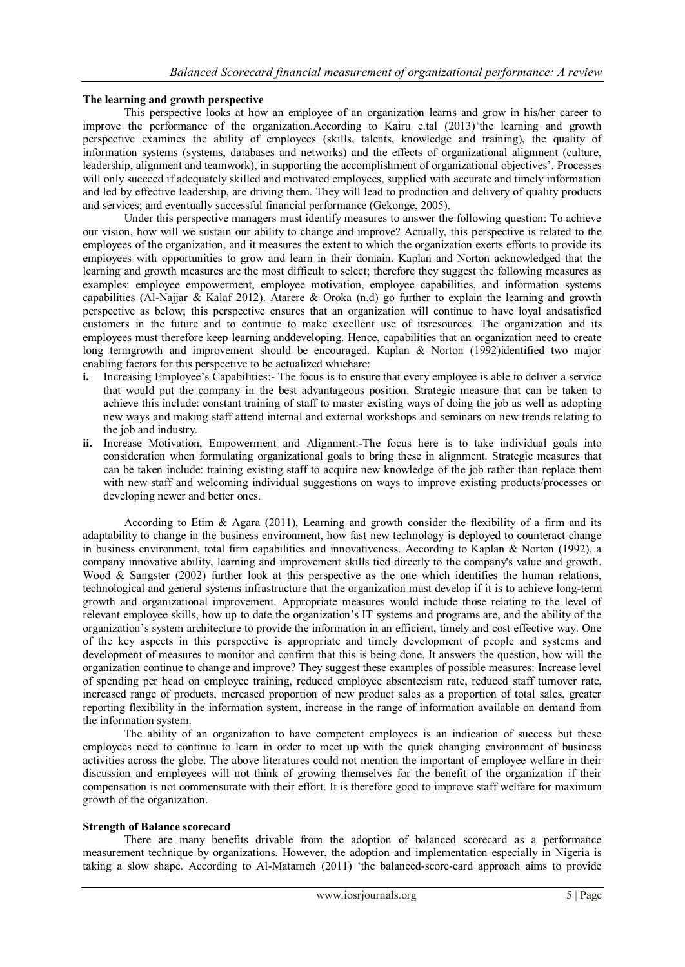# **The learning and growth perspective**

This perspective looks at how an employee of an organization learns and grow in his/her career to improve the performance of the organization.According to Kairu e.tal (2013) the learning and growth perspective examines the ability of employees (skills, talents, knowledge and training), the quality of information systems (systems, databases and networks) and the effects of organizational alignment (culture, leadership, alignment and teamwork), in supporting the accomplishment of organizational objectives". Processes will only succeed if adequately skilled and motivated employees, supplied with accurate and timely information and led by effective leadership, are driving them. They will lead to production and delivery of quality products and services; and eventually successful financial performance (Gekonge, 2005).

Under this perspective managers must identify measures to answer the following question: To achieve our vision, how will we sustain our ability to change and improve? Actually, this perspective is related to the employees of the organization, and it measures the extent to which the organization exerts efforts to provide its employees with opportunities to grow and learn in their domain. Kaplan and Norton acknowledged that the learning and growth measures are the most difficult to select; therefore they suggest the following measures as examples: employee empowerment, employee motivation, employee capabilities, and information systems capabilities (Al-Najjar & Kalaf 2012). Atarere & Oroka (n.d) go further to explain the learning and growth perspective as below; this perspective ensures that an organization will continue to have loyal andsatisfied customers in the future and to continue to make excellent use of itsresources. The organization and its employees must therefore keep learning anddeveloping. Hence, capabilities that an organization need to create long termgrowth and improvement should be encouraged. Kaplan & Norton (1992)identified two major enabling factors for this perspective to be actualized whichare:

- **i.** Increasing Employee's Capabilities:- The focus is to ensure that every employee is able to deliver a service that would put the company in the best advantageous position. Strategic measure that can be taken to achieve this include: constant training of staff to master existing ways of doing the job as well as adopting new ways and making staff attend internal and external workshops and seminars on new trends relating to the job and industry.
- **ii.** Increase Motivation, Empowerment and Alignment:-The focus here is to take individual goals into consideration when formulating organizational goals to bring these in alignment. Strategic measures that can be taken include: training existing staff to acquire new knowledge of the job rather than replace them with new staff and welcoming individual suggestions on ways to improve existing products/processes or developing newer and better ones.

According to Etim & Agara (2011), Learning and growth consider the flexibility of a firm and its adaptability to change in the business environment, how fast new technology is deployed to counteract change in business environment, total firm capabilities and innovativeness. According to Kaplan & Norton (1992), a company innovative ability, learning and improvement skills tied directly to the company's value and growth. Wood & Sangster (2002) further look at this perspective as the one which identifies the human relations, technological and general systems infrastructure that the organization must develop if it is to achieve long-term growth and organizational improvement. Appropriate measures would include those relating to the level of relevant employee skills, how up to date the organization"s IT systems and programs are, and the ability of the organization"s system architecture to provide the information in an efficient, timely and cost effective way. One of the key aspects in this perspective is appropriate and timely development of people and systems and development of measures to monitor and confirm that this is being done. It answers the question, how will the organization continue to change and improve? They suggest these examples of possible measures: Increase level of spending per head on employee training, reduced employee absenteeism rate, reduced staff turnover rate, increased range of products, increased proportion of new product sales as a proportion of total sales, greater reporting flexibility in the information system, increase in the range of information available on demand from the information system.

The ability of an organization to have competent employees is an indication of success but these employees need to continue to learn in order to meet up with the quick changing environment of business activities across the globe. The above literatures could not mention the important of employee welfare in their discussion and employees will not think of growing themselves for the benefit of the organization if their compensation is not commensurate with their effort. It is therefore good to improve staff welfare for maximum growth of the organization.

#### **Strength of Balance scorecard**

There are many benefits drivable from the adoption of balanced scorecard as a performance measurement technique by organizations. However, the adoption and implementation especially in Nigeria is taking a slow shape. According to Al-Matarneh (2011) "the balanced-score-card approach aims to provide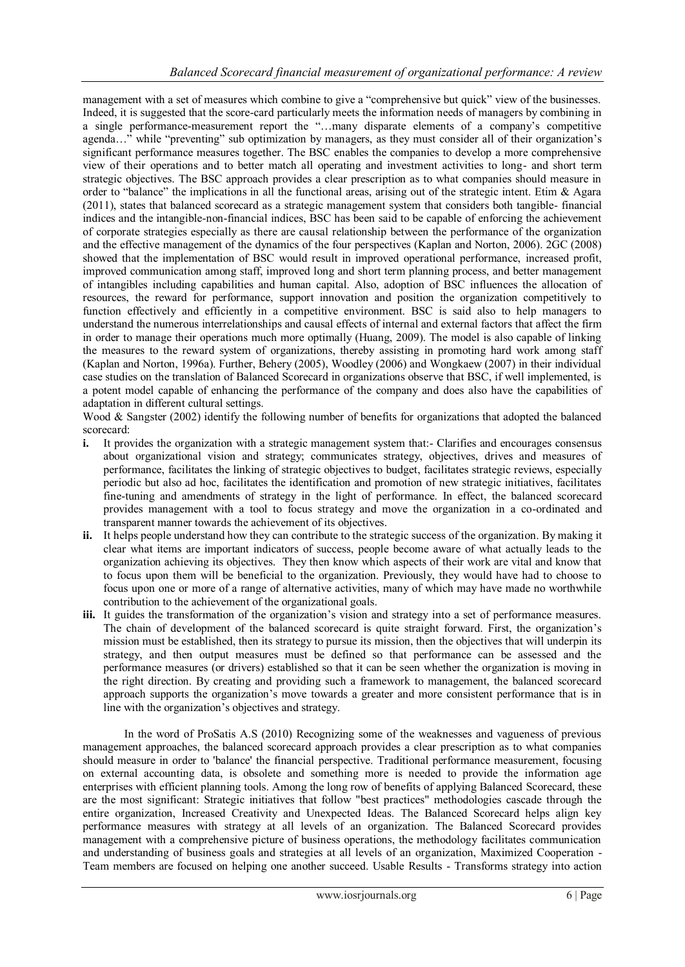management with a set of measures which combine to give a "comprehensive but quick" view of the businesses. Indeed, it is suggested that the score-card particularly meets the information needs of managers by combining in a single performance-measurement report the "…many disparate elements of a company"s competitive agenda…" while "preventing" sub optimization by managers, as they must consider all of their organization's significant performance measures together. The BSC enables the companies to develop a more comprehensive view of their operations and to better match all operating and investment activities to long- and short term strategic objectives. The BSC approach provides a clear prescription as to what companies should measure in order to "balance" the implications in all the functional areas, arising out of the strategic intent. Etim  $\&$  Agara (2011), states that balanced scorecard as a strategic management system that considers both tangible- financial indices and the intangible-non-financial indices, BSC has been said to be capable of enforcing the achievement of corporate strategies especially as there are causal relationship between the performance of the organization and the effective management of the dynamics of the four perspectives (Kaplan and Norton, 2006). 2GC (2008) showed that the implementation of BSC would result in improved operational performance, increased profit, improved communication among staff, improved long and short term planning process, and better management of intangibles including capabilities and human capital. Also, adoption of BSC influences the allocation of resources, the reward for performance, support innovation and position the organization competitively to function effectively and efficiently in a competitive environment. BSC is said also to help managers to understand the numerous interrelationships and causal effects of internal and external factors that affect the firm in order to manage their operations much more optimally (Huang, 2009). The model is also capable of linking the measures to the reward system of organizations, thereby assisting in promoting hard work among staff (Kaplan and Norton, 1996a). Further, Behery (2005), Woodley (2006) and Wongkaew (2007) in their individual case studies on the translation of Balanced Scorecard in organizations observe that BSC, if well implemented, is a potent model capable of enhancing the performance of the company and does also have the capabilities of adaptation in different cultural settings.

Wood & Sangster (2002) identify the following number of benefits for organizations that adopted the balanced scorecard:

- **i.** It provides the organization with a strategic management system that:- Clarifies and encourages consensus about organizational vision and strategy; communicates strategy, objectives, drives and measures of performance, facilitates the linking of strategic objectives to budget, facilitates strategic reviews, especially periodic but also ad hoc, facilitates the identification and promotion of new strategic initiatives, facilitates fine-tuning and amendments of strategy in the light of performance. In effect, the balanced scorecard provides management with a tool to focus strategy and move the organization in a co-ordinated and transparent manner towards the achievement of its objectives.
- **ii.** It helps people understand how they can contribute to the strategic success of the organization. By making it clear what items are important indicators of success, people become aware of what actually leads to the organization achieving its objectives. They then know which aspects of their work are vital and know that to focus upon them will be beneficial to the organization. Previously, they would have had to choose to focus upon one or more of a range of alternative activities, many of which may have made no worthwhile contribution to the achievement of the organizational goals.
- **iii.** It guides the transformation of the organization's vision and strategy into a set of performance measures. The chain of development of the balanced scorecard is quite straight forward. First, the organization"s mission must be established, then its strategy to pursue its mission, then the objectives that will underpin its strategy, and then output measures must be defined so that performance can be assessed and the performance measures (or drivers) established so that it can be seen whether the organization is moving in the right direction. By creating and providing such a framework to management, the balanced scorecard approach supports the organization"s move towards a greater and more consistent performance that is in line with the organization"s objectives and strategy.

In the word of ProSatis A.S (2010) Recognizing some of the weaknesses and vagueness of previous management approaches, the balanced scorecard approach provides a clear prescription as to what companies should measure in order to 'balance' the financial perspective. Traditional performance measurement, focusing on external accounting data, is obsolete and something more is needed to provide the information age enterprises with efficient planning tools. Among the long row of benefits of applying Balanced Scorecard, these are the most significant: Strategic initiatives that follow "best practices" methodologies cascade through the entire organization, Increased Creativity and Unexpected Ideas. The Balanced Scorecard helps align key performance measures with strategy at all levels of an organization. The Balanced Scorecard provides management with a comprehensive picture of business operations, the methodology facilitates communication and understanding of business goals and strategies at all levels of an organization, Maximized Cooperation - Team members are focused on helping one another succeed. Usable Results - Transforms strategy into action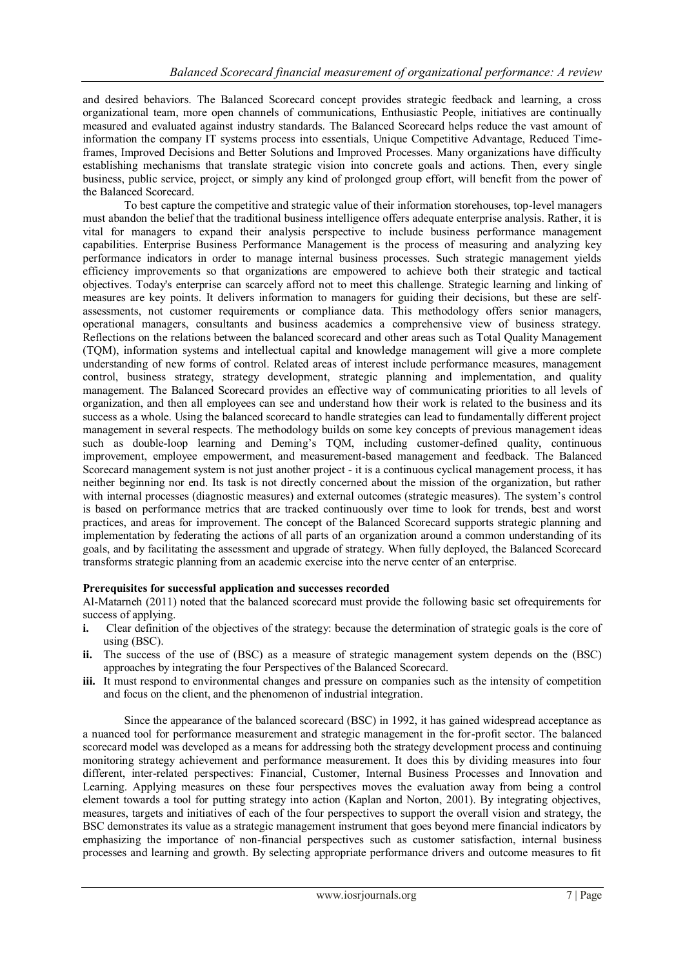and desired behaviors. The Balanced Scorecard concept provides strategic feedback and learning, a cross organizational team, more open channels of communications, Enthusiastic People, initiatives are continually measured and evaluated against industry standards. The Balanced Scorecard helps reduce the vast amount of information the company IT systems process into essentials, Unique Competitive Advantage, Reduced Timeframes, Improved Decisions and Better Solutions and Improved Processes. Many organizations have difficulty establishing mechanisms that translate strategic vision into concrete goals and actions. Then, every single business, public service, project, or simply any kind of prolonged group effort, will benefit from the power of the Balanced Scorecard.

To best capture the competitive and strategic value of their information storehouses, top-level managers must abandon the belief that the traditional business intelligence offers adequate enterprise analysis. Rather, it is vital for managers to expand their analysis perspective to include business performance management capabilities. Enterprise Business Performance Management is the process of measuring and analyzing key performance indicators in order to manage internal business processes. Such strategic management yields efficiency improvements so that organizations are empowered to achieve both their strategic and tactical objectives. Today's enterprise can scarcely afford not to meet this challenge. Strategic learning and linking of measures are key points. It delivers information to managers for guiding their decisions, but these are selfassessments, not customer requirements or compliance data. This methodology offers senior managers, operational managers, consultants and business academics a comprehensive view of business strategy. Reflections on the relations between the balanced scorecard and other areas such as Total Quality Management (TQM), information systems and intellectual capital and knowledge management will give a more complete understanding of new forms of control. Related areas of interest include performance measures, management control, business strategy, strategy development, strategic planning and implementation, and quality management. The Balanced Scorecard provides an effective way of communicating priorities to all levels of organization, and then all employees can see and understand how their work is related to the business and its success as a whole. Using the balanced scorecard to handle strategies can lead to fundamentally different project management in several respects. The methodology builds on some key concepts of previous management ideas such as double-loop learning and Deming's TQM, including customer-defined quality, continuous improvement, employee empowerment, and measurement-based management and feedback. The Balanced Scorecard management system is not just another project - it is a continuous cyclical management process, it has neither beginning nor end. Its task is not directly concerned about the mission of the organization, but rather with internal processes (diagnostic measures) and external outcomes (strategic measures). The system"s control is based on performance metrics that are tracked continuously over time to look for trends, best and worst practices, and areas for improvement. The concept of the Balanced Scorecard supports strategic planning and implementation by federating the actions of all parts of an organization around a common understanding of its goals, and by facilitating the assessment and upgrade of strategy. When fully deployed, the Balanced Scorecard transforms strategic planning from an academic exercise into the nerve center of an enterprise.

# **Prerequisites for successful application and successes recorded**

Al-Matarneh (2011) noted that the balanced scorecard must provide the following basic set ofrequirements for success of applying.

- **i.** Clear definition of the objectives of the strategy: because the determination of strategic goals is the core of using (BSC).
- **ii.** The success of the use of (BSC) as a measure of strategic management system depends on the (BSC) approaches by integrating the four Perspectives of the Balanced Scorecard.
- **iii.** It must respond to environmental changes and pressure on companies such as the intensity of competition and focus on the client, and the phenomenon of industrial integration.

Since the appearance of the balanced scorecard (BSC) in 1992, it has gained widespread acceptance as a nuanced tool for performance measurement and strategic management in the for-profit sector. The balanced scorecard model was developed as a means for addressing both the strategy development process and continuing monitoring strategy achievement and performance measurement. It does this by dividing measures into four different, inter-related perspectives: Financial, Customer, Internal Business Processes and Innovation and Learning. Applying measures on these four perspectives moves the evaluation away from being a control element towards a tool for putting strategy into action (Kaplan and Norton, 2001). By integrating objectives, measures, targets and initiatives of each of the four perspectives to support the overall vision and strategy, the BSC demonstrates its value as a strategic management instrument that goes beyond mere financial indicators by emphasizing the importance of non-financial perspectives such as customer satisfaction, internal business processes and learning and growth. By selecting appropriate performance drivers and outcome measures to fit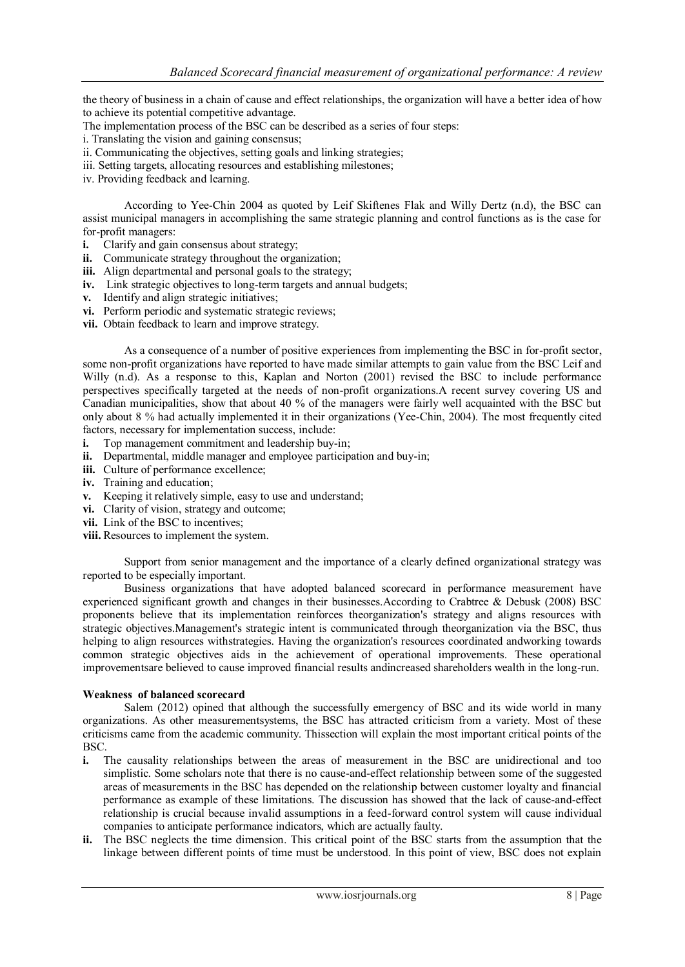the theory of business in a chain of cause and effect relationships, the organization will have a better idea of how to achieve its potential competitive advantage.

The implementation process of the BSC can be described as a series of four steps:

- i. Translating the vision and gaining consensus;
- ii. Communicating the objectives, setting goals and linking strategies;
- iii. Setting targets, allocating resources and establishing milestones;
- iv. Providing feedback and learning.

According to Yee-Chin 2004 as quoted by Leif Skiftenes Flak and Willy Dertz (n.d), the BSC can assist municipal managers in accomplishing the same strategic planning and control functions as is the case for for-profit managers:

- **i.** Clarify and gain consensus about strategy;
- **ii.** Communicate strategy throughout the organization;
- **iii.** Align departmental and personal goals to the strategy;
- **iv.** Link strategic objectives to long-term targets and annual budgets;
- **v.** Identify and align strategic initiatives;
- **vi.** Perform periodic and systematic strategic reviews;
- **vii.** Obtain feedback to learn and improve strategy.

As a consequence of a number of positive experiences from implementing the BSC in for-profit sector, some non-profit organizations have reported to have made similar attempts to gain value from the BSC Leif and Willy (n.d). As a response to this, Kaplan and Norton (2001) revised the BSC to include performance perspectives specifically targeted at the needs of non-profit organizations.A recent survey covering US and Canadian municipalities, show that about 40 % of the managers were fairly well acquainted with the BSC but only about 8 % had actually implemented it in their organizations (Yee-Chin, 2004). The most frequently cited factors, necessary for implementation success, include:

- **i.** Top management commitment and leadership buy-in;
- **ii.** Departmental, middle manager and employee participation and buy-in;
- **iii.** Culture of performance excellence;
- **iv.** Training and education;
- **v.** Keeping it relatively simple, easy to use and understand;
- **vi.** Clarity of vision, strategy and outcome;
- vii. Link of the BSC to incentives;
- **viii.** Resources to implement the system.

Support from senior management and the importance of a clearly defined organizational strategy was reported to be especially important.

Business organizations that have adopted balanced scorecard in performance measurement have experienced significant growth and changes in their businesses.According to Crabtree & Debusk (2008) BSC proponents believe that its implementation reinforces theorganization's strategy and aligns resources with strategic objectives.Management's strategic intent is communicated through theorganization via the BSC, thus helping to align resources withstrategies. Having the organization's resources coordinated andworking towards common strategic objectives aids in the achievement of operational improvements. These operational improvementsare believed to cause improved financial results andincreased shareholders wealth in the long-run.

# **Weakness of balanced scorecard**

Salem (2012) opined that although the successfully emergency of BSC and its wide world in many organizations. As other measurementsystems, the BSC has attracted criticism from a variety. Most of these criticisms came from the academic community. Thissection will explain the most important critical points of the BSC.

- **i.** The causality relationships between the areas of measurement in the BSC are unidirectional and too simplistic. Some scholars note that there is no cause-and-effect relationship between some of the suggested areas of measurements in the BSC has depended on the relationship between customer loyalty and financial performance as example of these limitations. The discussion has showed that the lack of cause-and-effect relationship is crucial because invalid assumptions in a feed-forward control system will cause individual companies to anticipate performance indicators, which are actually faulty.
- **ii.** The BSC neglects the time dimension. This critical point of the BSC starts from the assumption that the linkage between different points of time must be understood. In this point of view, BSC does not explain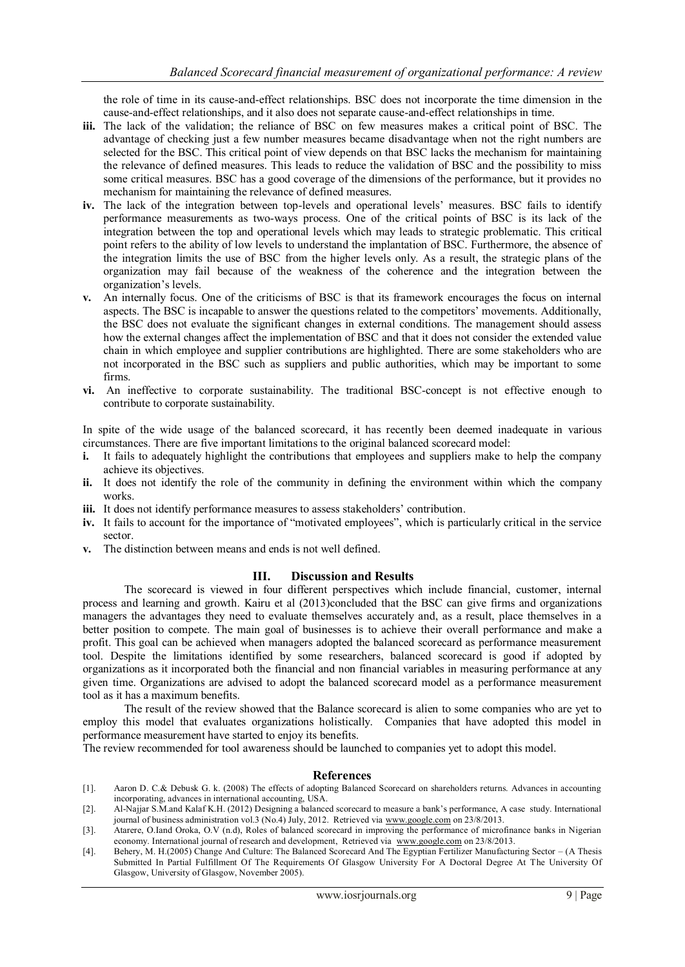the role of time in its cause-and-effect relationships. BSC does not incorporate the time dimension in the cause-and-effect relationships, and it also does not separate cause-and-effect relationships in time.

- **iii.** The lack of the validation; the reliance of BSC on few measures makes a critical point of BSC. The advantage of checking just a few number measures became disadvantage when not the right numbers are selected for the BSC. This critical point of view depends on that BSC lacks the mechanism for maintaining the relevance of defined measures. This leads to reduce the validation of BSC and the possibility to miss some critical measures. BSC has a good coverage of the dimensions of the performance, but it provides no mechanism for maintaining the relevance of defined measures.
- iv. The lack of the integration between top-levels and operational levels' measures. BSC fails to identify performance measurements as two-ways process. One of the critical points of BSC is its lack of the integration between the top and operational levels which may leads to strategic problematic. This critical point refers to the ability of low levels to understand the implantation of BSC. Furthermore, the absence of the integration limits the use of BSC from the higher levels only. As a result, the strategic plans of the organization may fail because of the weakness of the coherence and the integration between the organization"s levels.
- **v.** An internally focus. One of the criticisms of BSC is that its framework encourages the focus on internal aspects. The BSC is incapable to answer the questions related to the competitors" movements. Additionally, the BSC does not evaluate the significant changes in external conditions. The management should assess how the external changes affect the implementation of BSC and that it does not consider the extended value chain in which employee and supplier contributions are highlighted. There are some stakeholders who are not incorporated in the BSC such as suppliers and public authorities, which may be important to some firms.
- **vi.** An ineffective to corporate sustainability. The traditional BSC-concept is not effective enough to contribute to corporate sustainability.

In spite of the wide usage of the balanced scorecard, it has recently been deemed inadequate in various circumstances. There are five important limitations to the original balanced scorecard model:

- **i.** It fails to adequately highlight the contributions that employees and suppliers make to help the company achieve its objectives.
- **ii.** It does not identify the role of the community in defining the environment within which the company works.
- **iii.** It does not identify performance measures to assess stakeholders' contribution.
- **iv.** It fails to account for the importance of "motivated employees", which is particularly critical in the service sector.
- **v.** The distinction between means and ends is not well defined.

#### **III. Discussion and Results**

The scorecard is viewed in four different perspectives which include financial, customer, internal process and learning and growth. Kairu et al (2013)concluded that the BSC can give firms and organizations managers the advantages they need to evaluate themselves accurately and, as a result, place themselves in a better position to compete. The main goal of businesses is to achieve their overall performance and make a profit. This goal can be achieved when managers adopted the balanced scorecard as performance measurement tool. Despite the limitations identified by some researchers, balanced scorecard is good if adopted by organizations as it incorporated both the financial and non financial variables in measuring performance at any given time. Organizations are advised to adopt the balanced scorecard model as a performance measurement tool as it has a maximum benefits.

The result of the review showed that the Balance scorecard is alien to some companies who are yet to employ this model that evaluates organizations holistically. Companies that have adopted this model in performance measurement have started to enjoy its benefits.

The review recommended for tool awareness should be launched to companies yet to adopt this model.

#### **References**

- [1]. Aaron D. C.& Debusk G. k. (2008) The effects of adopting Balanced Scorecard on shareholders returns. Advances in accounting incorporating, advances in international accounting, USA.
- [2]. Al-Najjar S.M.and Kalaf K.H. (2012) Designing a balanced scorecard to measure a bank"s performance, A case study. International journal of business administration vol.3 (No.4) July, 2012. Retrieved via [www.google.com](http://www.google.com/) on 23/8/2013.
- [3]. Atarere, O.Iand Oroka, O.V (n.d), Roles of balanced scorecard in improving the performance of microfinance banks in Nigerian economy. International journal of research and development, Retrieved via [www.google.com](http://www.google.com/) on 23/8/2013.
- [4]. Behery, M. H.(2005) Change And Culture: The Balanced Scorecard And The Egyptian Fertilizer Manufacturing Sector (A Thesis Submitted In Partial Fulfillment Of The Requirements Of Glasgow University For A Doctoral Degree At The University Of Glasgow, University of Glasgow, November 2005).